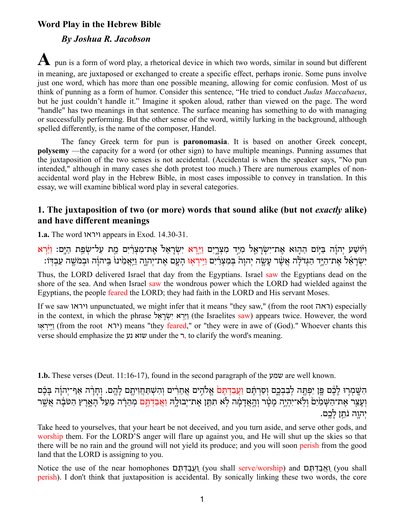# **Word Play in the Hebrew Bible**

### *By Joshua R. Jacobson*

**A** pun is <sup>a</sup> form of word play, <sup>a</sup> rhetorical device in which two words, similar in sound but different in meaning, are juxtaposed or exchanged to create a specific effect, perhaps ironic. Some puns involve just one word, which has more than one possible meaning, allowing for comic confusion. Most of us think of punning as a form of humor. Consider this sentence, "He tried to conduct *Judas Maccabaeus*, but he just couldn't handle it." Imagine it spoken aloud, rather than viewed on the page. The word "handle" has two meanings in that sentence. The surface meaning has something to do with managing or successfully performing. But the other sense of the word, wittily lurking in the background, although spelled differently, is the name of the composer, Handel.

The fancy Greek term for pun is **paronomasia**. It is based on another Greek concept, **polysemy** —the capacity for a word (or other sign) to have multiple meanings. Punning assumes that the juxtaposition of the two senses is not accidental. (Accidental is when the speaker says, "No pun intended," although in many cases she doth protest too much.) There are numerous examples of nonaccidental word play in the Hebrew Bible, in most cases impossible to convey in translation. In this essay, we will examine biblical word play in several categories.

## **1. The juxtaposition of two (or more) words that sound alike (but not** *exactly* **alike) and have different meanings**

**1.a.** The word ויראו appears in Exod. 14.30-31.

וַ יִּ וֹּעַע יְהוָה בַּיְוֹם הַהֶוּא אֶת־יִשְׂרָאֵל מִיַּד מִצְרֶיִם וַיִּרְא יִשְׂרָאֵל אֶת־מִצְרַיִם מֵת עַל־שָׂפַת הַיֶּם: וַיַּּרְא יִשְׂרָאֶל אֶת־הַיִּד הַגְּדֹלָה אֲשֶׁר עַשָׂה יְהוָה בְּמִצְרָיִם וַיִּיְרָאוּ הַעָם אֶת־יְהוָה וַיִּאֲמִינוּ בַּיהוֹה וּבְמֹשֶׁה עַבְדּוֹ:

Thus, the LORD delivered Israel that day from the Egyptians. Israel saw the Egyptians dead on the shore of the sea. And when Israel saw the wondrous power which the LORD had wielded against the Egyptians, the people feared the LORD; they had faith in the LORD and His servant Moses.

If we saw ויראו unpunctuated, we might infer that it means "they saw," (from the root ראה (especially in the context, in which the phrase וירא ישׂראל (the Israelites saw) appears twice. However, the word וייראוּ (from the root (ירא) means "they feared," or "they were in awe of (God)." Whoever chants this verse should emphasize the נע שוא under the ר, to clarify the word's meaning.

**1.b.** These verses (Deut. 11:16-17), found in the second paragraph of the שמע are well known.

הִשֶּׁמְרִוּ לָבֶׁם פֵּן יִפְתֵּה לְבַבְבֵם וִסַרִתֵּם <u>וַעֲבַדְתֵּם</u> אֱלֹהֶים אֲחֵרִים וִהִשְׁתַּחֲוִיתֵם לָהֱם. וִחָרָה אַף־יִהוָۢה בָּבֶ֫ם וְעָצֵר אֶת־הַשָּׁמַ֫יִּם וְלְא־יִהְיֶה מָטָר וְהָאֲדָמָה לְא תִהֵן אֶת־יְבוּלֶה וַאֲבַדְחֶם מְהֵרָה מֵעַל הְאָרֶץ הַטֹּבָה אֲשֶׁר יהוה נֹתז לכם.

Take heed to yourselves, that your heart be not deceived, and you turn aside, and serve other gods, and worship them. For the LORD'S anger will flare up against you, and He will shut up the skies so that there will be no rain and the ground will not yield its produce; and you will soon perish from the good land that the LORD is assigning to you.

Notice the use of the near homophones םֶתְדַבֲעַו) you shall serve/worship) and םֶתְדַבֲאַו) you shall perish). I don't think that juxtaposition is accidental. By sonically linking these two words, the core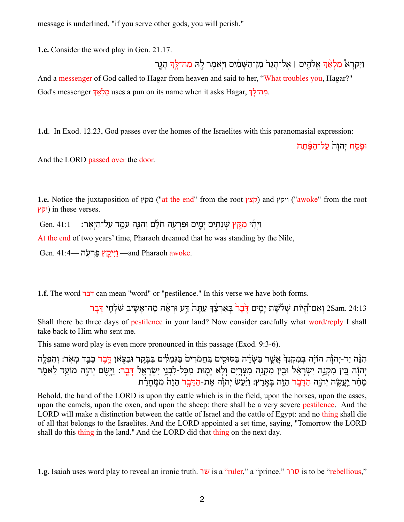message is underlined, "if you serve other gods, you will perish."

**1.c.** Consider the word play in Gen. 21.17.

וַיִּקְרָא<sup>ָ</sup> מַלְאַ֫ךְּ אֱלֹהֶים | אֱל־הָגָר<sup>וֹ</sup> מִן־הַשַּׁמַׂיִם וַיִּאֹמֶר לַהִ מַה־לֵּךְ הָגֵר And a messenger of God called to Hagar from heaven and said to her, "What troubles you, Hagar?" God's messenger לַאֲךָ uses a pun on its name when it asks Hagar, כַּחְרִלְ

**1.d**. In Exod. 12.23, God passes over the homes of the Israelites with this paranomasial expression:

וּפַסַח יהוה על־הַפֵּ֫תַח

And the LORD passed over the door.

**1.e.** Notice the juxtaposition of *מ*קץ") and *(קצץ*) and קצץ) and ויקץ) and ויקץ) and ויקץ יקץ) in these verses.

וַיְהִי מְקֵ**ּץ שִׁנְתַיִם יַמִים וּפַרְעָ**ֹה חֹלֵם וְהִנֵּה עֹמֵד עַל־הַיְאָר: —Gen. 41:1

At the end of two years' time, Pharaoh dreamed that he was standing by the Nile,

Gen.  $41:4$ וְיֵקֵץ פַּרְעָׂה —and Pharaoh awoke.

**1.f.** The word דבר can mean "word" or "pestilence." In this verse we have both forms.

24:13 וְאִם־הֱיוֹת שִׁלֹשֶׁת יָמִים דֶּבֶר בְּאַרְצֶד עַתֲהֹ דַּע וּרְאֵה מֶה־אֲשֵׁיב שֹׁלְחֵי דַּבֵר [ Shall there be three days of pestilence in your land? Now consider carefully what word/reply I shall take back to Him who sent me.

This same word play is even more pronounced in this passage (Exod. 9:3-6).

הִנֶּה יַד-יְהוֹ֫ה הוֹיָה בִּמְקִנְדְּ אֲשֵׁר בַּשָּׂדֶה בַּסּוּסֵים בַּחֲמֹרִים בַּגְּמַלִּים בַּבֲקֵר וּבַצִּאַן דֱבֶר כַּבֵד מְאִד: וְהִפְלֵה יְהוָׂה בֵּין מִקְנֵה יִשְׂרָאֵ֫ל וּבֵין מִקְנֵה מִצְרֶיִם וְלָא יָמֵוּת מִכָּל-לִבְנֵי יִשְׂרָאֵל דָּבֶר: וַיֵּשֶׂם יְהוֶה מוֹעֵד לֵאמֶר מְחָר יַעֲשֶׂה יְהוֶה הַדָּבֶר הַזֶּה בָּאָרֵץ: וַיַּּעַשׂ יִהוַׂה אֶת-<u>הַדָּב</u>ר הַזֵּה מִמַּחַרַּת

Behold, the hand of the LORD is upon thy cattle which is in the field, upon the horses, upon the asses, upon the camels, upon the oxen, and upon the sheep: there shall be a very severe pestilence. And the LORD will make a distinction between the cattle of Israel and the cattle of Egypt: and no thing shall die of all that belongs to the Israelites. And the LORD appointed a set time, saying, "Tomorrow the LORD shall do this thing in the land." And the LORD did that thing on the next day.

**1.g.** Isaiah uses word play to reveal an ironic truth. שר is a "ruler," a "prince." <del>סרר is to be "rebellious</del>,"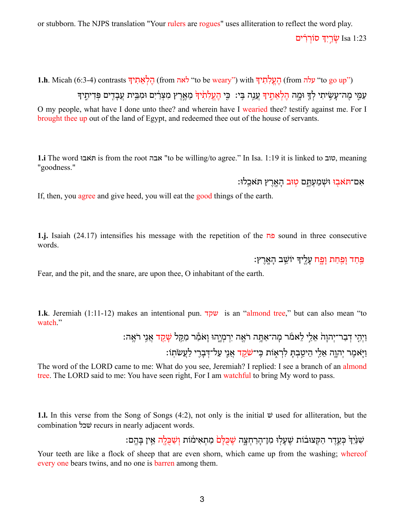or stubborn. The NJPS translation "Your rulers are rogues" uses alliteration to reflect the word play.

עֵׂרֵיִךְ סוֹרְרִים Isa 1:23

("to go up") עלה from העלתיך with ("to be weary") with הלאתיך (from העלתיך) with .h. Micah (6:3-4) contrasts

עַמֵּי מֶה־עַשֵׂיתִי לְךָּ וּמֵה הֵלְאֶתֵיךָ עֶנֶה בֵּי: כֵּי הֵעֵלְתָׂיךָ מֶאֱרֵץ מִצְרַ֫יִם וּמִבֵּית עֲבָדֵים פִּדִיתִיךָ

O my people, what have I done unto thee? and wherein have I wearied thee? testify against me. For I brought thee up out of the land of Egypt, and redeemed thee out of the house of servants.

**1.i** The word האבו is from the root אבה "to be willing/to agree." In Isa. 1:19 it is linked to סוב, meaning "goodness."

אִם־תּאִבְוּ וּשְׁמַעָתֵּם <mark>טְוּב</mark> הַאֲרֵץ ת<sup>ְ</sup>אִכֵלוּ:

If, then, you agree and give heed, you will eat the good things of the earth.

**1.j.** Isaiah (24.17) intensifies his message with the repetition of the פח sound in three consecutive words.

פַּחַד וָפַּחַת וָפֶ<mark>ח עָלֶ</mark>יךָ יוֹשֵׁב הָאֲרֶץ:

Fear, and the pit, and the snare, are upon thee, O inhabitant of the earth.

**1.k**. Jeremiah (1:11-12) makes an intentional pun. שקד is an "almond tree," but can also mean "to watch."

> וַיְהֵי דְבַר־יְהוַהֹ אֵלֵי לֵאמֹר מַה־אַתֵּה רֹאֵה יִרְמְיֵהוּ וַאֹמֶּר מַקֵּל שַׁ<u>קֵד א</u>ֲנֵי רֹאֵה: וַ יִּאמֶר יְהוֵה אֵלֵי הֵיטֵבְתַּ לִרְאָוֹת כֵּי־<del>שֹׁמֵד אֲ</del>נֵי עַל־דְּבָרֵי לַעֲשֹׂתָוֹ:

The word of the LORD came to me: What do you see, Jeremiah? I replied: I see a branch of an almond tree. The LORD said to me: You have seen right, For I am watchful to bring My word to pass.

**1.l.** In this verse from the Song of Songs (4:2), not only is the initial שׁ used for alliteration, but the combination שׁכל recurs in nearly adjacent words.

ְשָׁנַּ<sup>י</sup> וְּ כְּעֵדֵר הַקְּצוּבֹוֹת שֶׁעָלוּ מִן־הַרַחִצָּה <del>שֶׁכְּלַם</del> מַתְאִימֹוֹת וְשַׁכְּלֵה אֵין בָּהֱם:

Your teeth are like a flock of sheep that are even shorn, which came up from the washing; whereof every one bears twins, and no one is **barren** among them.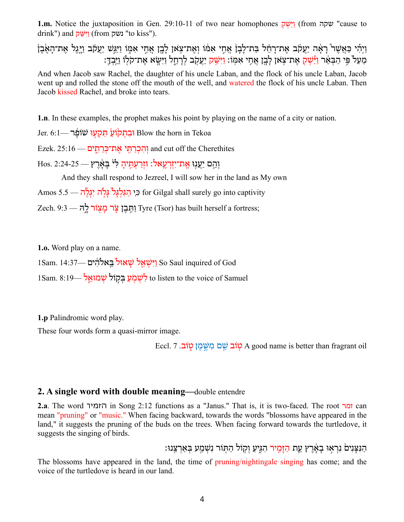**1.m.** Notice the juxtaposition in Gen. 29:10-11 of two near homophones **וַיִּשׁ** (from שקה "cause to  $d$ rink") and יִישׁק (from נשק "to kiss").

וַיְהִי כַּאֲשֶׁר רָאָ֫ה יַעֲקֹב אֶת־רָחֵ֫ל בַּת־לָבָןֹ אֲחֶי אִמּוֹ וְאֵת־צָאוָ לָבָן אֲחֶי אִמְוֹ וַיִּגֲשׁ יַעֲקֹב וַיָּגֵל אֶת־הָאֶבֵן מִעל פּי הבּאֵר ו<sup>ַעָּ</sup>שַׁק אַת־צַאַן לִבן אַחי אַמּוֹ: וַיּשַׁק יִעָקֹב לְרְחֵל וִיּשֵׂא אַת־קֹלוֹ וִיּּבַדְּ:

And when Jacob saw Rachel, the daughter of his uncle Laban, and the flock of his uncle Laban, Jacob went up and rolled the stone off the mouth of the well, and watered the flock of his uncle Laban. Then Jacob kissed Rachel, and broke into tears.

**1.n**. In these examples, the prophet makes his point by playing on the name of a city or nation.

Jer. 6:1— וּבִתְקֹוֹעַ תִּקְעָוּ שׁוֹפֵּר Oil— וּבִתְקֹוֹעַ

Ezek. 25:16 וְהִכְרַתֵּי אֱת־כְּרֶתִים iand cut off the Cherethites

וְהֵם יַעֲנָוּ אֶת־יִזְרְעֲאל: וּזְרַעָתֵּיהָ לִ<sup>וּ</sup> בַּאֲרֵץ — 2:24-25 .Hos

And they shall respond to Jezreel, I will sow her in the land as My own

er Gilgal shall surely go into captivity כִּי הַגְּלְגָּלٌ גָּלְה יְגְלֻה

Zech. 9:3 יַהֲבֶן צֶׂר מַצְוֹר לָהּ Tyre (Tsor) has built herself a fortress;

**1.o.** Word play on a name.

ISam. 14:37— וַיִּשְׁאֵל שַׁאוּל בֵּאלהִים

Sam. רְאָמִעַ בִּקְוֹל שְׁמוּאֵל to listen to the voice of Samuel

**1.p** Palindromic word play.

These four words form a quasi-mirror image.

Eccl.  $7 \frac{1}{2}$ טׂוב שֵׁם מִשֶּׁמֵן טְוֹב. Degood name is better than fragrant oil

### **2. A single word with double meaning—**double entendre

**2.a**. The word הזמיר in Song 2:12 functions as a "Janus." That is, it is two-faced. The root זמר can mean "pruning" or "music." When facing backward, towards the words "blossoms have appeared in the land," it suggests the pruning of the buds on the trees. When facing forward towards the turtledove, it suggests the singing of birds.

הַ צְּנִיםׂ נִרְאֵוּ בְאֶרֵץ עֵת הַזָּמֵיר הִגִּיעַ וְקִוֹל הַתִּוֹר נִשְׁמֵע בְּאֵרְצֵנוּ:

The blossoms have appeared in the land, the time of pruning/nightingale singing has come; and the voice of the turtledove is heard in our land.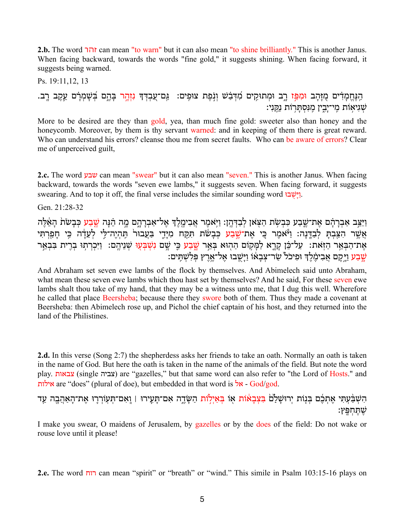**2.b.** The word זהר can mean "to warn" but it can also mean "to shine brilliantly." This is another Janus. When facing backward, towards the words "fine gold," it suggests shining. When facing forward, it suggests being warned.

Ps. 19:11,12, 13 ּהַנֶּחֶמְדִים מֻזָּהָב וּמִפְּ֣ז רֶב וּמְתוּקִים מִ֫דְּבַ֫שׁ וְנָפֶת צוּפִים: גַּם־עֲבְדְדָ נִזְהָ֣ר בְּהֶם בְּשָׁמְרָ֔ם עֵקֶב רֶב. ֹשְׁגִיאָוֹת מֵי־יָבִין מֵנְסְתַּרְוֹת נַקֵּנְי:

More to be desired are they than gold, yea, than much fine gold: sweeter also than honey and the honeycomb. Moreover, by them is thy servant warned: and in keeping of them there is great reward. Who can understand his errors? cleanse thou me from secret faults. Who can be aware of errors? Clear me of unperceived guilt,

**2.c.** The word שבע can mean "swear" but it can also mean "seven." This is another Janus. When facing backward, towards the words "seven ewe lambs," it suggests seven. When facing forward, it suggests swearing. And to top it off, the final verse includes the similar sounding word  $\cdot$ י

Gen. 21:28-32

וַיַּצֵּב אַבְרָהָם אֶת־שֵׁבַע כִּבְשִׂת הַצְּאַן לִבַדְּהֵן: וַיִּאמֶר אֲבִימֶלֶדְ אֵל־אַבְרָהָם מֶה הֵנָּה <u>שֶׁבַע</u> כִּבָשׂת הָאֶלֶה אֵשֶׁר הִצֵּבְתַּ לְבָדֵּנָה: וַיֹּאמֶר כֵּי אֶת־שֵׁבַע כִּבְשֹׂת תִּקֵח מִיַּדֵי בַּעֲבוּר<sup>וֹ</sup> תֵּהְיֵה־לֵּי לְעָדָה כֵּי חַפַּרִתִּי אֶת־הַבְּאֵר הַזְּאֹת׃ עַל־כֵּ֫ן קָרֶא לַמְּקוֹם הַהְוּא בְּאֵר שֶׁבַע כֵּי שָׁם נִשְׂבְּעָוּ שְׁנֵיהֶם: וַיִּכְרְתוּ בְרָית בִּבְאֵר שֵׁבַע וַיִּקַם אֲבִימֶלֶךְ וּפִיכֹל שַׂר־צָבָאוֹ וַיַּשֶבוּ אֶל־אֱרֶץ פְּלִשְׁתֵים: ``

And Abraham set seven ewe lambs of the flock by themselves. And Abimelech said unto Abraham, what mean these seven ewe lambs which thou hast set by themselves? And he said, For these seven ewe lambs shalt thou take of my hand, that they may be a witness unto me, that I dug this well. Wherefore he called that place Beersheba; because there they swore both of them. Thus they made a covenant at Beersheba: then Abimelech rose up, and Pichol the chief captain of his host, and they returned into the land of the Philistines.

**2.d.** In this verse (Song 2:7) the shepherdess asks her friends to take an oath. Normally an oath is taken in the name of God. But here the oath is taken in the name of the animals of the field. But note the word play. צבאות) are "gazelles," but that same word can also refer to "the Lord of Hosts." and אילות are "does" (plural of doe), but embedded in that word is  $\frac{1}{2}$  - God/god.

הִשְׁבַּ֫עָתִּי אֶתְבֶ֫ם בִּנְוֹת יְרוּשָׁלַם בִּ<mark>צְבָאוֹת אָוֹ בִּאַיְלְוֹת</mark> הַשָּׂדֶה אָם־תָּעֲוֹר | וְאִם־תִּעְוֹרְרֶוּ אֵת־הָאַהֲבֶה עַד שֶׁתֶּחְפֵּץ:

I make you swear, O maidens of Jerusalem, by gazelles or by the does of the field: Do not wake or rouse love until it please!

**2.e.** The word רוח can mean "spirit" or "breath" or "wind." This simile in Psalm 103:15-16 plays on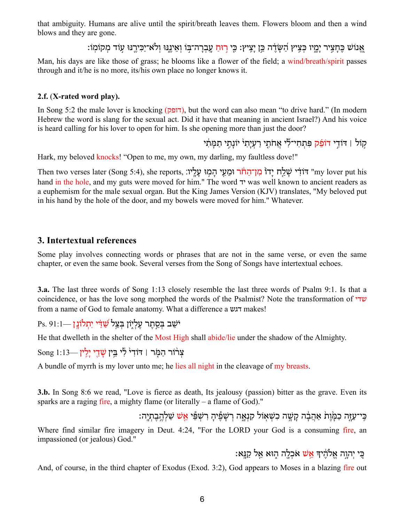that ambiguity. Humans are alive until the spirit/breath leaves them. Flowers bloom and then a wind blows and they are gone.

: אַנוֹשׁ כַּחַצִיר יִמִיו כַּצִיץ הַשׂדֹה כֵּן יִצִיץ: כֵּי <mark>רוּח</mark> עָברה־בּוֹ ואִינַנּוּ וְלֹאָ־יכֵּירִנּוּ עוֹד מִקוֹמוֹ

Man, his days are like those of grass; he blooms like a flower of the field; a wind/breath/spirit passes through and it/he is no more, its/his own place no longer knows it.

### **2.f.** (**X-rated word play).**

In Song 5:2 the male lover is knocking  $(TTQ)$ , but the word can also mean "to drive hard." (In modern Hebrew the word is slang for the sexual act. Did it have that meaning in ancient Israel?) And his voice is heard calling for his lover to open for him. Is she opening more than just the door?

קוֹל | דּוֹדֵי **דוֹפֵק פִּתְחִי־לִּי אֲחֹתֵי** רַעְיַתִי יוֹנָתֵי תַמַּתִּי

Hark, my beloved knocks! "Open to me, my own, my darling, my faultless dove!"

Then two verses later (Song 5:4), she reports, שִׁלֵח יִדוֹ מִן־הַחֹֹר וּמֵעַי הָמְוּ עָלֵיו: "my lover put his hand in the hole, and my guts were moved for him." The word יד was well known to ancient readers as a euphemism for the male sexual organ. But the King James Version (KJV) translates, "My beloved put in his hand by the hole of the door, and my bowels were moved for him." Whatever.

## **3. Intertextual references**

Some play involves connecting words or phrases that are not in the same verse, or even the same chapter, or even the same book. Several verses from the Song of Songs have intertextual echoes.

**3.a.** The last three words of Song 1:13 closely resemble the last three words of Psalm 9:1. Is that a coincidence, or has the love song morphed the words of the Psalmist? Note the transformation of שדי from a name of God to female anatomy. What a difference a דגש makes!

יֹשֵׁב בְּסֵתֵר עֵלְיָוֹן בִּצֵל שַׁדִּי יִתְלוֹנֵן —Ps. 91:1

He that dwelleth in the shelter of the Most High shall abide/lie under the shadow of the Almighty.

 $\operatorname{Song} \ 1:13$ צְרֹוֹר הַמֶּר | דּוֹדְיֹ לְי בֵּין שָׁדֵי יַלֵין

A bundle of myrrh is my lover unto me; he lies all night in the cleavage of my breasts.

**3.b.** In Song 8:6 we read, "Love is fierce as death, Its jealousy (passion) bitter as the grave. Even its sparks are a raging fire, a mighty flame (or literally – a flame of God)."

כִּי־עַזָּה כִמַּ֫וֹת אַהִבֹּה קִשָּׁה כִשְׁאוֹל קִנְאָה רִשְׁפִּי יִ מְעֵ*ּ שִׂ*שָׁ שַׁלְהִבְתִיהִ

Where find similar fire imagery in Deut. 4:24, "For the LORD your God is a consuming fire, an impassioned (or jealous) God."

ּכֵּי יִהְוֵה אֱלֹהֶיךָ <mark>אֵשׁ אֹכְלֵה הִוּא אֱל קַנֵּא:</mark>

And, of course, in the third chapter of Exodus (Exod. 3:2), God appears to Moses in a blazing fire out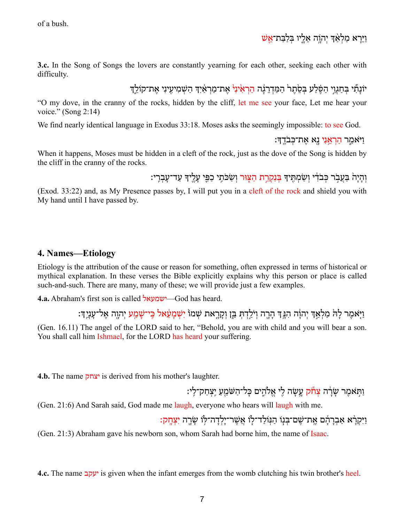# וַיֵּרָא מַלְאָדְ יְהוָה אֵלֵיו בְּלַבֵּת־אֱשׁ

**3.c.** In the Song of Songs the lovers are constantly yearning for each other, seeking each other with difficulty.

יוֹנַתְّי בְּחַגְוֵי הַפֶּלַע בְּסֶׂתֵר הַמַּדְרֵגָה <u>הַרְאִ</u>יּנְיֹ אֶת־מַרְאַיִךְ הַשְׁמִיעֵינִי אֶת־קוֹלֵךְ

"O my dove, in the cranny of the rocks, hidden by the cliff, let me see your face, Let me hear your voice." (Song 2:14)

We find nearly identical language in Exodus 33:18. Moses asks the seemingly impossible: to see God.

ַ וַיּאמַר הַרְאֵנִי נֵא אֶת־כִּבֹדֱךָ:

When it happens, Moses must be hidden in a cleft of the rock, just as the dove of the Song is hidden by the cliff in the cranny of the rocks.

וְהַיָהׂ בַּעֲבֹר כִּבֹדִי וְשָׂמְתֵּיךָ בִּנְקָרֶת הַצִּוּר וְשָׂכֹּתֵי כַפֵּי עָלֵיךָ עָד־עַבְרֵי:

(Exod. 33:22) and, as My Presence passes by, I will put you in a cleft of the rock and shield you with My hand until I have passed by.

# **4. Names—Etiology**

Etiology is the attribution of the cause or reason for something, often expressed in terms of historical or mythical explanation. In these verses the Bible explicitly explains why this person or place is called such-and-such. There are many, many of these; we will provide just a few examples.

**4.a.** Abraham's first son is called ישמעאל—God has heard.

וַ יִּאמֶר לַהֹּ מַלְאַדְּ יְהוֵה הִגַּדְּ הַרֵה וִיֹּלַדְתָּ בֵּן וְקָרֵאת שְׁמוֹ יִשְׁמַעָּאל כֵּי־שָׁמַע יְהוֵה אֵל־עָנֵיֶדְ:

(Gen. 16.11) The angel of the LORD said to her, "Behold, you are with child and you will bear a son. You shall call him Ishmael, for the LORD has heard your suffering.

**4.b.** The name יצחק is derived from his mother's laughter.

וַתְּאמֶר שָׂרָה <mark>צְחֹק עֶשָׂה לִי אֱלֹהֵים כַּל־הַשֹּׁמֵע</mark> יֵצְחַק־לֵי:

(Gen. 21:6) And Sarah said, God made me laugh, everyone who hears will laugh with me.

וַיִּקְרָא אַבְרַהָ֫ם אֵת־שֶׁם־בְּנָוֹ הַנּוֹלַד־לִוֹ אֲשֶׁר־יָלְדַה־לּוֹ שָׂרֵה יִצְחֲקָ:

(Gen. 21:3) Abraham gave his newborn son, whom Sarah had borne him, the name of Isaac.

**4.c.** The name יעקב is given when the infant emerges from the womb clutching his twin brother's heel.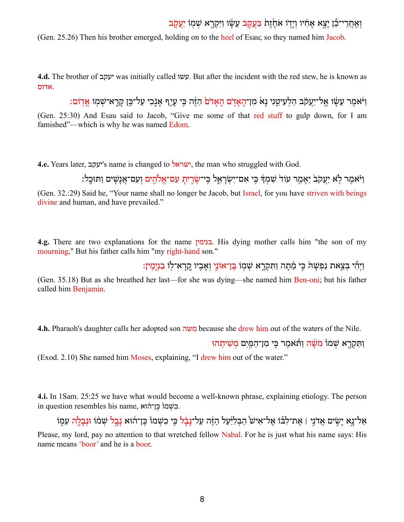# וְאַחֲרִי־כֵּ֫ן יַצֵא אֲחָיו וְיַדְוֹ אֹחֵׂוֶת בַּעֲקֶב עֲשָׂו וַיִּקְרֵא שְׁמְוֹ יַעֲקֹב

(Gen. 25.26) Then his brother emerged, holding on to the heel of Esau; so they named him Jacob.

**4.d.** The brother of יעקב was initially called עשו. But after the incident with the red stew, he is known as .אדום

<u>וַ</u> יִ יֹּאמֶר עֵשָׂו אֱל־יַעֲקֹב הַלְעִיטֵנִי נַאֹ מִן־הַאֲדֹם הַאֲדֹם הַזֶּה כֵּי עַיַף אֲנִכִי עַל־כֵּן קַרֵא־שְׁמוֹ אֶדְוֹם: (Gen. 25:30) And Esau said to Jacob, "Give me some of that red stuff to gulp down, for I am famished"—which is why he was named Edom.

**4.e.** Years later, יעקב's name is changed to ישראל, the man who struggled with God.

וַ יִּאמֶר לָא יַעֲקֹב<sup>י</sup> יֵאֲמֶר עוֹד<sup>י</sup> שִׁמְדֶּ כֵּי אִם־יִשְׂרָאֶל כֵּי־שַׂרִית עִם־אֱלֹהֵים וְעָם־אֲנָשֶׁים וַתּוּכֵל

(Gen. 32.:29) Said he, "Your name shall no longer be Jacob, but Israel, for you have striven with beings divine and human, and have prevailed."

**4.g.** There are two explanations for the name בנימין. His dying mother calls him "the son of my mourning," But his father calls him "my right-hand son."

וִיהִّי בִּצַאַת נִפְשָׁה כֵּי מִתָּה וַתִּקְרָא שִׁמוֹ בֵּן־אוֹנֵי וֹאָבִיו קְרָא־לוֹ בִנִימִיןָ:

(Gen. 35.18) But as she breathed her last—for she was dying—she named him Ben-oni; but his father called him Benjamin.

**4.h.** Pharaoh's daughter calls her adopted son משה because she drew him out of the waters of the Nile.

וַתִּקְרֵא שְׁמוֹ מֹ<mark>שֶׁה וַ</mark>תְּאמֶר כֵּי מִן־הַמֵּיִם מְשִׁיחֵהוּ

(Exod. 2.10) She named him Moses, explaining, "I drew him out of the water."

**4.i.** In 1Sam. 25:25 we have what would become a well-known phrase, explaining etiology. The person .כִשְׁמוֹ כֵּן־הֹוּא ,name בִשְׁמוֹ כֵּן־ה

אַל־נֵא יַשִׂים אֲדֹנֵי | אֶת־לְבוֹ אֵל־אִישׁ הַבִּלְיֹּעַל הַזֶּה עַל־נַבָ֫ל כֵּי כִשְׁמוֹ כֵּן־הוּא נַבֵל שְׁמֹוֹ וּנְבַלֵה עָמִו Please, my lord, pay no attention to that wretched fellow Nabal. For he is just what his name says: His name means 'boor' and he is a boor.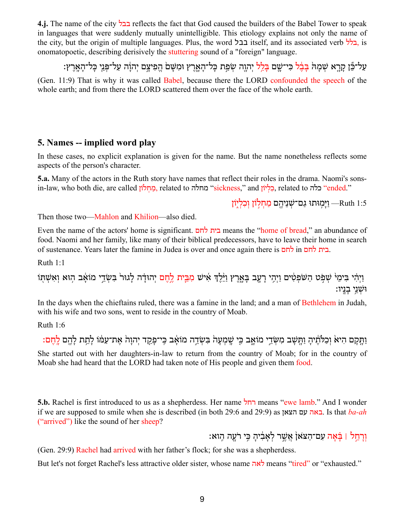**4.j.** The name of the city בבל reflects the fact that God caused the builders of the Babel Tower to speak in languages that were suddenly mutually unintelligible. This etiology explains not only the name of the city, but the origin of multiple languages. Plus, the word בבל, itself, and its associated verb בלל, is onomatopoetic, describing derisively the stuttering sound of a "foreign" language.

עַל־כֵּֿן קרא שִׁמה בּבֹּל כִּי־שִׁם בַּלֹל יהוה שִׂפַּת כַּל־האָרץ וּמִשָּׁם הַפִּיצַם יִהוֹה עַל־פּּנִי כַּל־הָאָרץ: (Gen. 11:9) That is why it was called Babel, because there the LORD confounded the speech of the whole earth; and from there the LORD scattered them over the face of the whole earth.

## **5. Names -- implied word play**

In these cases, no explicit explanation is given for the name. But the name nonetheless reflects some aspects of the person's character.

**5.a.** Many of the actors in the Ruth story have names that reflect their roles in the drama. Naomi's sonsin-law, who both die, are called <u>לוֹן ְכְלִי</u>ּוֹן (sickness," and כלה sickness, <u>כליז (ended.</u>"

1:5 Ruth – ויִמוּתוּ גם־שִׁנִיהם מחלוֹן וכליוֹן

Then those two—Mahlon and Khilion—also died.

Even the name of the actors' home is significant. לחם בית means the "home of bread," an abundance of food. Naomi and her family, like many of their biblical predecessors, have to leave their home in search of sustenance. Years later the famine in Judea is over and once again there is לחם in לחם בית.

Ruth 1:1

וַיְהִי בִּימֵיׂ שְׁפִט הַשֹּׁפְטִים וַיְהִי רָעֶב בְּאֱרֶץ וַיֵּלֶדְ אִישׁ מִבֵּיִת לֶחֶם יְהוּדָה לְגוּר בִּשְׂדֵי מוֹאָב הְוּא וְאִשְׁתָּוֹ ּוּשָׁנֵי בָנֵיו:

In the days when the chieftains ruled, there was a famine in the land; and a man of Bethlehem in Judah, with his wife and two sons, went to reside in the country of Moab.

Ruth 1:6

וַתַּקַם הִיא<sup>ָ</sup> וְכַלֹּתֵ֫יהַ וַתִּשַׁב מִשְׂדֵי מוֹאָב כֵּי שֻׁמִעָּה בְּשְׂדֵה מוֹאָב כֵּי־פַקַד יְהוַהֹ אֶת־עַמּׁוֹ לַתֵת לַהֶם לַחֶם: She started out with her daughters-in-law to return from the country of Moab; for in the country of Moab she had heard that the LORD had taken note of His people and given them food.

**5.b.** Rachel is first introduced to us as a shepherdess. Her name רחל means "ewe lamb." And I wonder if we are supposed to smile when she is described (in both 29:6 and 29:9) as הצאן עם באה. Is that *ba-ah* ("arrived") like the sound of her sheep?

וְרָחֱל | בַּׂאָה עִם־הַצֹּאוֹ אֲשֶׁר לְאֲבִ֫יהָ כֵּי רֹעַה הֵוא:

(Gen. 29:9) Rachel had arrived with her father's flock; for she was a shepherdess.

But let's not forget Rachel's less attractive older sister, whose name לאה means "tired" or "exhausted."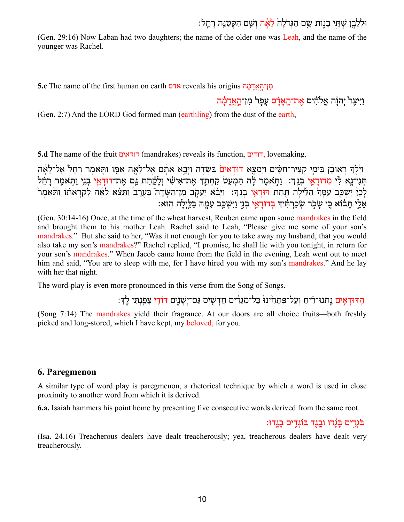# וּלְלָבֵן שְׁתֵּי בָנִוֹת שֵׁם הַגְּדֹלַה *לֵ*אֶּה וְשֵׁם הַקִּטַנֵּה רַחֵל:

(Gen. 29:16) Now Laban had two daughters; the name of the older one was Leah, and the name of the younger was Rachel.

**5.c** The name of the first human on earth אדם reveals his origins הַ*ן*־הַאֲדָמָה

וַיִּיצֶר ْיְהוָ֫ה אֱלֹהִים אֱת־הֲאֲדָֹם עָפָר מִן־הָאֲדָמֶה

(Gen. 2:7) And the LORD God formed man (earthling) from the dust of the earth,

**5.d** The name of the fruit דודאים) mandrakes) reveals its function, דודים, lovemaking.

וַ יְּלֵדְ רְאוּבֶן בִּימֵי קִצְיר־חִטִּים וַיִּמְצֵא דְוּדַאִים בַּשַּׂדֶה וַיַּבֵא אֹתָם אֵל־לֵאֵה אִמּוֹ וַתִּאמַר רַחל אל־לֹאָה תּנִי־נַא לִּי מִדּוּדַאֵי בִּנֵדְ: וַתִּאמֵר לַּהְ הַמִעַטֹּ קַחִתֵּךְ אֵת־אִישִׂי וְלָקַחַת גַּם אֵת־דּוּדָאֵי בְּנֵי וַתְּאמֶר רָחֵ֫ל לָכֵן יִשְׁבֵּב עִמַּדְ הַלַּ֫יִלָה תַּחַת דּוּדַאֵי בְנֵדְ: וַיַּבֹא יַעֲקֹב מִן־הַשָּׂדֶה בְּעֶרֶב וַתֵּצָּא לֵאֶה לִקְרָאתוֹ וַתֹּאמֶר אֵלֵי תַּבֹּוֹא כֵּי שַׂכִר שִׂכַרְתִּ֫יִדְ בְּדוּדָאֵי בְּנֵי וַיִּשְׁכֵּב עָמֵהּ בַּלֵּיְלָה הִוּא:

(Gen. 30:14-16) Once, at the time of the wheat harvest, Reuben came upon some mandrakes in the field and brought them to his mother Leah. Rachel said to Leah, "Please give me some of your son's mandrakes." But she said to her, "Was it not enough for you to take away my husband, that you would also take my son's mandrakes?" Rachel replied, "I promise, he shall lie with you tonight, in return for your son's mandrakes." When Jacob came home from the field in the evening, Leah went out to meet him and said, "You are to sleep with me, for I have hired you with my son's mandrakes." And he lay with her that night.

The word-play is even more pronounced in this verse from the Song of Songs.

הַדִּ הָדוּדָ מִים בְּתְנוּ־רֵיתַ וְעַל־פְּתָתֵ<sup>ׂ</sup>ינוּ כָּל־מְגָדִים תֲדָשִׁים גַּם־יְשָׁנֵים דּוֹדִי צָפַנְתִּי לֶךְ

(Song 7:14) The mandrakes yield their fragrance. At our doors are all choice fruits—both freshly picked and long-stored, which I have kept, my beloved, for you.

### **6. Paregmenon**

A similar type of word play is paregmenon, a rhetorical technique by which a word is used in close proximity to another word from which it is derived.

**6.a.** Isaiah hammers his point home by presenting five consecutive words derived from the same root.

ּ בֹּגְדֵים בְּגֵדוּ וּבֵגֶד בּוֹגְדֵים בָּגֵדוּ:

(Isa. 24.16) Treacherous dealers have dealt treacherously; yea, treacherous dealers have dealt very treacherously.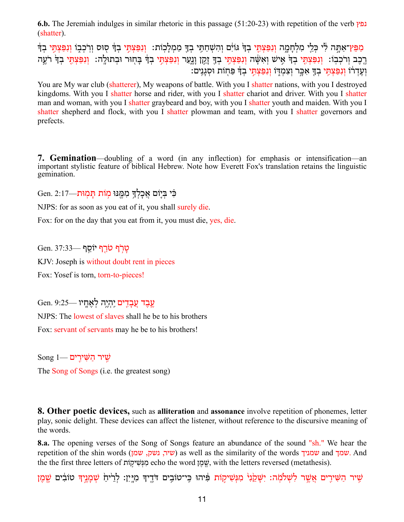**6.b.** The Jeremiah indulges in similar rhetoric in this passage (51:20-23) with repetition of the verb נפץ (shatter).

מַ<mark>פֵּץ־אַתָּה לִׂי כִּלֵי מִלְחָמֶה וִנִפַּצְתֵּי בִד</mark>ּ גּוֹיִם וְהִשְׁחַתָּי בְדָּ מַמְלָכְוֹת: וְנִפַּצְתֵּי בְד רֶכֶב וְרֹכְבְוֹ: וְנִפַּצְתֵּי בְךָ אֵישׁ וְאִשָּׁה וְנִפַּצְתֵּי בְדָּ זֵקֵן וַנֵעַר וְנִפַּצְתֵּי בְדָ בְחוּר וּבְתוּלֵה: וְנִפַּצְתֵּי בְדָּ רֹעֵה וְעֵדְרֹוֹ וְנִפַּצְתֵּי בְךָ אִכֶּר וְצִמְדְוֹ וְנִפַּצְתֵּי בְדָּ פַּחְוֹת וּסְגָנֵים:

You are My war club (shatterer), My weapons of battle. With you I shatter nations, with you I destroyed kingdoms. With you I shatter horse and rider, with you I shatter chariot and driver. With you I shatter man and woman, with you I shatter graybeard and boy, with you I shatter youth and maiden. With you I shatter shepherd and flock, with you I shatter plowman and team, with you I shatter governors and prefects.

**7. Gemination**—doubling of a word (in any inflection) for emphasis or intensification—an important stylistic feature of biblical Hebrew. Note how Everett Fox's translation retains the linguistic gemination.

כִּ֫י בְּיָוֹם אֲכַלְךָּ מִמֶּנּוּ מְוֹת תַּמְוּת—Cen. 2:17

NJPS: for as soon as you eat of it, you shall surely die.

Fox: for on the day that you eat from it, you must die, yes, die.

טרף טרף יוֹסף —37:33 KJV: Joseph is without doubt rent in pieces Fox: Yosef is torn, torn-to-pieces!

עֶבֶד עֶבְדִים יֶהְיֶה לְאֶחֵיו —9:25 .Gen. 9

NJPS: The lowest of slaves shall he be to his brothers Fox: servant of servants may he be to his brothers!

 $\text{Song } 1$  שיר הַשֵּׁירים The Song of Songs (i.e. the greatest song)

**8. Other poetic devices,** such as **alliteration** and **assonance** involve repetition of phonemes, letter play, sonic delight. These devices can affect the listener, without reference to the discursive meaning of the words.

**8.a.** The opening verses of the Song of Songs feature an abundance of the sound "sh." We hear the repetition of the shin words (שיר, נשק, שמן as well as the similarity of the words שמניך and שמניך. And the the first three letters of *נועיקות* echo the word שׁמן, with the letters reversed (metathesis).

ְשֵׁיר הַשִּׁירֵים אֲשֵׁר לִשְׁלֹמָה: יִשָּׁקֵ<sup>נֶוּ</sup> מִגְּשִׁיקָוֹת פִּיהוּ כֵּי־טוֹבֵים דֹּדֵיךָ מְיֵין: לְרֵיהַ שְׁמֶנֶיךָ טוֹבִים שֵׁמֶן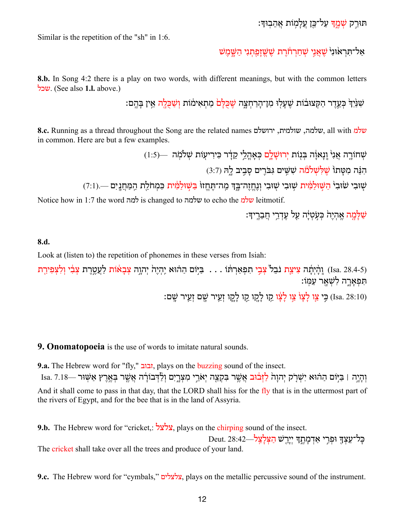תּוּרֵק <mark>שְׁמֵדְּ עַל־כֵּן עֵלַ</mark>מְוֹת אֱהֵבִוּדְּ:

Similar is the repetition of the "sh" in 1:6.

אַל־תִּראֹוּנ<sup>וּ</sup> שַׁאַנִי שַׁחַרהֹׂרת שַׁשַׁזַפַּתנִי הַשָּׁמַשׁ

**8.b.** In Song 4:2 there is a play on two words, with different meanings, but with the common letters שכל.) See also **1.l.** above.)

שִׁנִּ<sup>י</sup>דִּ כִּעַדר הַקְּצוּבֹוֹת שַׁעַלוּ מַז־הרחִצה <del>שַׁכַּלֹם</del> מִתְאִימִׂוֹת וַשַּׁכַּלֹה אִין בַּהֶם:

**8.c.** Running as a thread throughout the Song are the related names ירושלם ,שולמית ,שלמה, all with שלמ in common. Here are but a few examples.

> שְׁחוֹרֶה אֲנִי וְנָאוָֹה בִּנְוֹת יְרוּשָׁלֵם כִּאָהֶלֵי קֵדָר כִּירִיעָוֹת שָׁלֹמְה —(1:5) הִנֵּה מִטַּתוֹ שֵׁלְּשָׁלֹמֹה שִׁשֵּׁים גִּבֹּרֵים סַבֵיב לַהְ (3:7)

שִׁוּבִי שׂוּבִי הַשְׁוּלַמִּ֫ית שְׁוּבִי שְׁוּבִי וְנֶחֱזֶה־בֵּךְּ מֵה־תֶּחֱזוּ בַּשְׁוּלַמִּ֫ית כִּמְחֹלֵת הַמַּחֲנֵיִם —.(7:1)

Notice how in 1:7 the word למה is changed to שלמה to echo the שלמ leitmotif.

שַׁלָּמה אָהִיה כּעָטיּה עַל עַדרי חברידִּ

#### **8.d.**

Look at (listen to) the repetition of phonemes in these verses from Isiah:

(Isa. 28.4-5) וְהָ֫יְתָׁה צִיצַת נֹבֵל צְבֵי תִפְאַרְחֹּוֹ . . . בִּיְּוֹם הַהֹוּא יְהְיֶה יְתְוָה צְבָאֹוֹת לַעֲטֶרֶת צְבִ֫י וְלִצְפִירֶת ּ תִּפְאַרֵה לִשְׁאֵר עַמְּוֹ:

:עֵ יִ צֵו לָצָן צֵו לָצָו קֵו לָקֵו קֵו לָקֵו זְעֵיר שֵׁם זְעֵיר שַׁם (Isa. 28:10)

**9. Onomatopoeia** is the use of words to imitate natural sounds.

**9.a.** The Hebrew word for "fly," זבוב, plays on the buzzing sound of the insect. וְהֵיָה | בַּיִּוֹם הַהֹוּא יִשְׁרֹק יְהוַה לַזְּבוּב אֲשֶׁר בִּקְצֶה יְאֹרֵי מִצְרֵים וְלַדְּבוֹרָה אֲשֶׁר בִּאֲרָץ אֲשֶׁוּר —Isa. 7.18 And it shall come to pass in that day, that the LORD shall hiss for the fly that is in the uttermost part of the rivers of Egypt, and for the bee that is in the land of Assyria.

**9.b.** The Hebrew word for "cricket,: צלצל, plays on the chirping sound of the insect.

כַּל־עֵצְךָּ וּפְרֵי אַדְמַתֵֽךְּ יִיָרֵשׁ הַצְּלַצֵּל—28:42 The cricket shall take over all the trees and produce of your land.

**9.c.** The Hebrew word for "cymbals," צלצלים, plays on the metallic percussive sound of the instrument.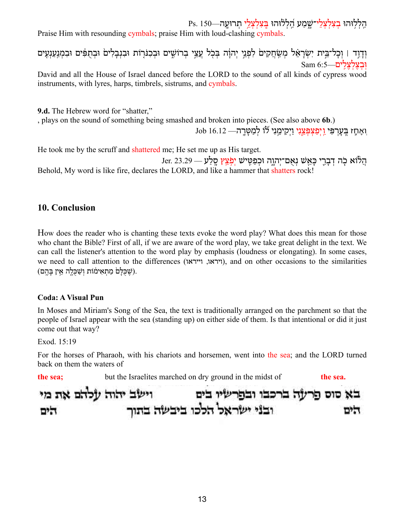הַ לְלִוּהוּ בְצִלְצָלֵי־שָׁמַע הַלְלוּהוּ בֵּצְלְצְלֵי תִרוּעֵה—Ps. 150

Praise Him with resounding cymbals; praise Him with loud-clashing cymbals.

וְדָוֶד וּ וְכָל־בֵּית יִשְׂרָאֵל מְשַׂחֲקִים לִפְגֵי יְהוָה בְּכָל עֲצֵי בְרוֹשֵׁים וּבְכִנּוְיֹת וּבִנְבְלִים וּבְתֻנִעֲנְעָים וּ**בִצַלְצַלִים**—6:5 Sam

David and all the House of Israel danced before the LORD to the sound of all kinds of cypress wood instruments, with lyres, harps, timbrels, sistrums, and cymbals.

**9.d.** The Hebrew word for "shatter,"

, plays on the sound of something being smashed and broken into pieces. (See also above **6b**.)

וְאָחַז בֵּעָרִפִּי וַיִפְצָפְּצֵנִי וַיִקִימֵנִי לוֹ לְמֵטֶּרֵה— 16.12 Job

He took me by the scruff and shattered me; He set me up as His target.

הֲלֹוֹא כְה דְבְרֵי כְּאֵשׁ נְאָם־יְהוֶה וּכְפַטִּישׁ יִפְצֵץ סֵלַע — 19.29 .Jer. Behold, My word is like fire, declares the LORD, and like a hammer that shatters rock!

# **10. Conclusion**

How does the reader who is chanting these texts evoke the word play? What does this mean for those who chant the Bible? First of all, if we are aware of the word play, we take great delight in the text. We can call the listener's attention to the word play by emphasis (loudness or elongating). In some cases, we need to call attention to the differences (ויראו, וייראו), and on other occasions to the similarities ּ (שֶׁכְּלָםׂ מַתְאִימֹוֹת וְשַׁכְלֵה אֵין בָּהֵם).

### **Coda: A Visual Pun**

In Moses and Miriam's Song of the Sea, the text is traditionally arranged on the parchment so that the people of Israel appear with the sea (standing up) on either side of them. Is that intentional or did it just come out that way?

Exod. 15:19

For the horses of Pharaoh, with his chariots and horsemen, went into the sea; and the LORD turned back on them the waters of

**the sea;** but the Israelites marched on dry ground in the midst of **the sea.** וישב יהוה עלהם את מי בא סוס פרעה ברכבו ובפרשיו בים ובני ישראל הלכו ביבשה בתוך הים